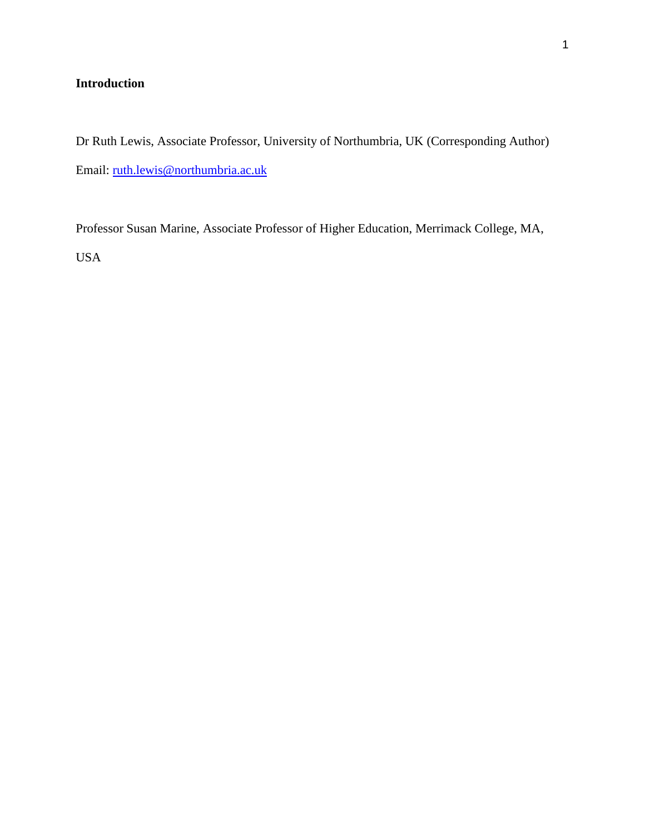## **Introduction**

Dr Ruth Lewis, Associate Professor, University of Northumbria, UK (Corresponding Author) Email: [ruth.lewis@northumbria.ac.uk](mailto:ruth.lewis@northumbria.ac.uk)

Professor Susan Marine, Associate Professor of Higher Education, Merrimack College, MA, USA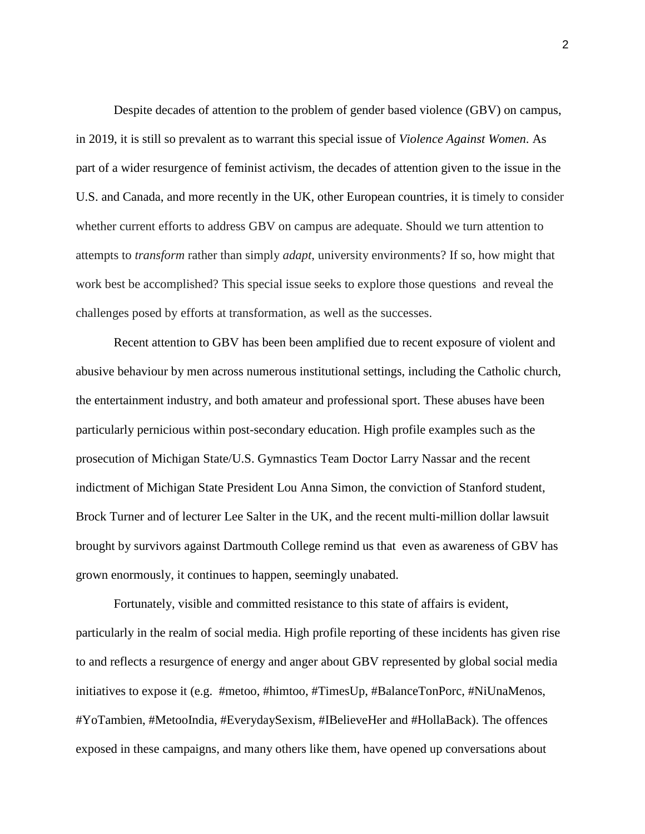Despite decades of attention to the problem of gender based violence (GBV) on campus, in 2019, it is still so prevalent as to warrant this special issue of *Violence Against Women*. As part of a wider resurgence of feminist activism, the decades of attention given to the issue in the U.S. and Canada, and more recently in the UK, other European countries, it is timely to consider whether current efforts to address GBV on campus are adequate. Should we turn attention to attempts to *transform* rather than simply *adapt*, university environments? If so, how might that work best be accomplished? This special issue seeks to explore those questions and reveal the challenges posed by efforts at transformation, as well as the successes.

Recent attention to GBV has been been amplified due to recent exposure of violent and abusive behaviour by men across numerous institutional settings, including the Catholic church, the entertainment industry, and both amateur and professional sport. These abuses have been particularly pernicious within post-secondary education. High profile examples such as the prosecution of Michigan State/U.S. Gymnastics Team Doctor Larry Nassar and the recent indictment of Michigan State President Lou Anna Simon, the conviction of Stanford student, Brock Turner and of lecturer Lee Salter in the UK, and the recent multi-million dollar lawsuit brought by survivors against Dartmouth College remind us that even as awareness of GBV has grown enormously, it continues to happen, seemingly unabated.

Fortunately, visible and committed resistance to this state of affairs is evident, particularly in the realm of social media. High profile reporting of these incidents has given rise to and reflects a resurgence of energy and anger about GBV represented by global social media initiatives to expose it (e.g. #metoo, #himtoo, #TimesUp, #BalanceTonPorc, #NiUnaMenos, #YoTambien, #MetooIndia, #EverydaySexism, #IBelieveHer and #HollaBack). The offences exposed in these campaigns, and many others like them, have opened up conversations about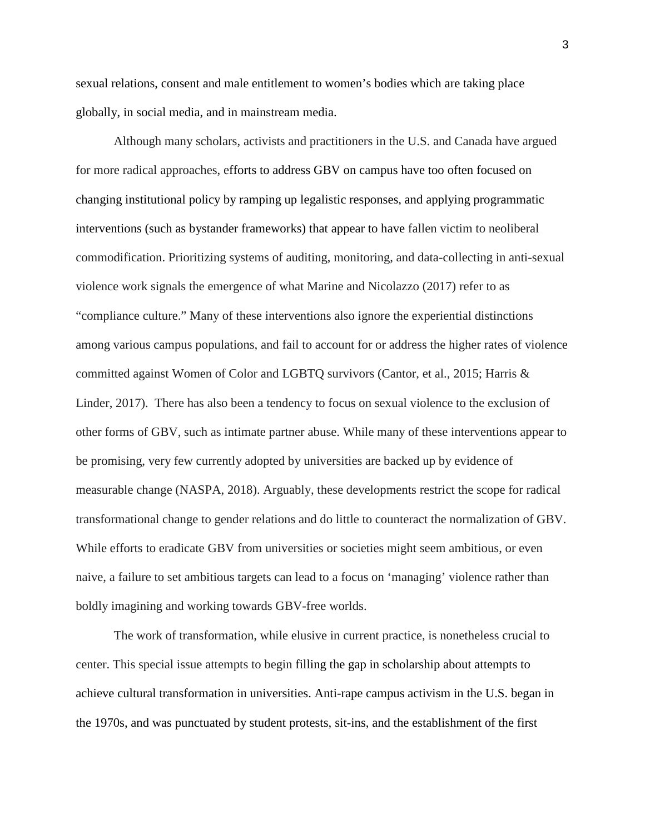sexual relations, consent and male entitlement to women's bodies which are taking place globally, in social media, and in mainstream media.

Although many scholars, activists and practitioners in the U.S. and Canada have argued for more radical approaches, efforts to address GBV on campus have too often focused on changing institutional policy by ramping up legalistic responses, and applying programmatic interventions (such as bystander frameworks) that appear to have fallen victim to neoliberal commodification. Prioritizing systems of auditing, monitoring, and data-collecting in anti-sexual violence work signals the emergence of what Marine and Nicolazzo (2017) refer to as "compliance culture." Many of these interventions also ignore the experiential distinctions among various campus populations, and fail to account for or address the higher rates of violence committed against Women of Color and LGBTQ survivors (Cantor, et al., 2015; Harris & Linder, 2017). There has also been a tendency to focus on sexual violence to the exclusion of other forms of GBV, such as intimate partner abuse. While many of these interventions appear to be promising, very few currently adopted by universities are backed up by evidence of measurable change (NASPA, 2018). Arguably, these developments restrict the scope for radical transformational change to gender relations and do little to counteract the normalization of GBV. While efforts to eradicate GBV from universities or societies might seem ambitious, or even naive, a failure to set ambitious targets can lead to a focus on 'managing' violence rather than boldly imagining and working towards GBV-free worlds.

The work of transformation, while elusive in current practice, is nonetheless crucial to center. This special issue attempts to begin filling the gap in scholarship about attempts to achieve cultural transformation in universities. Anti-rape campus activism in the U.S. began in the 1970s, and was punctuated by student protests, sit-ins, and the establishment of the first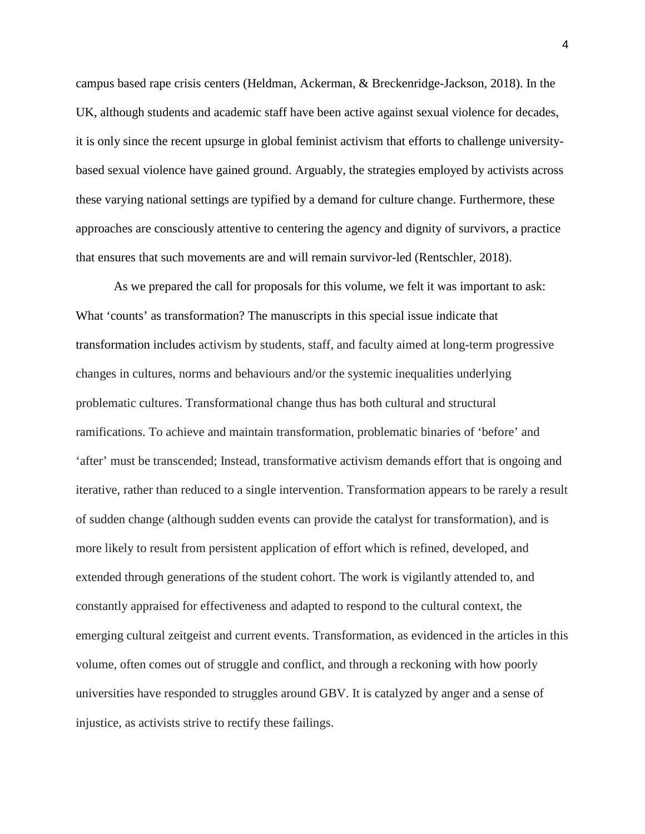campus based rape crisis centers (Heldman, Ackerman, & Breckenridge-Jackson, 2018). In the UK, although students and academic staff have been active against sexual violence for decades, it is only since the recent upsurge in global feminist activism that efforts to challenge universitybased sexual violence have gained ground. Arguably, the strategies employed by activists across these varying national settings are typified by a demand for culture change. Furthermore, these approaches are consciously attentive to centering the agency and dignity of survivors, a practice that ensures that such movements are and will remain survivor-led (Rentschler, 2018).

As we prepared the call for proposals for this volume, we felt it was important to ask: What 'counts' as transformation? The manuscripts in this special issue indicate that transformation includes activism by students, staff, and faculty aimed at long-term progressive changes in cultures, norms and behaviours and/or the systemic inequalities underlying problematic cultures. Transformational change thus has both cultural and structural ramifications. To achieve and maintain transformation, problematic binaries of 'before' and 'after' must be transcended; Instead, transformative activism demands effort that is ongoing and iterative, rather than reduced to a single intervention. Transformation appears to be rarely a result of sudden change (although sudden events can provide the catalyst for transformation), and is more likely to result from persistent application of effort which is refined, developed, and extended through generations of the student cohort. The work is vigilantly attended to, and constantly appraised for effectiveness and adapted to respond to the cultural context, the emerging cultural zeitgeist and current events. Transformation, as evidenced in the articles in this volume, often comes out of struggle and conflict, and through a reckoning with how poorly universities have responded to struggles around GBV. It is catalyzed by anger and a sense of injustice, as activists strive to rectify these failings.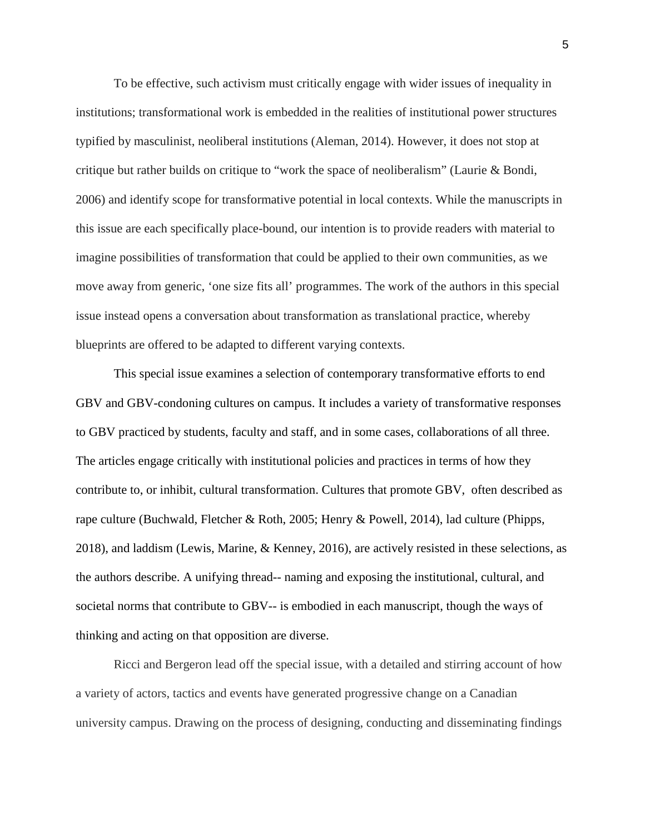To be effective, such activism must critically engage with wider issues of inequality in institutions; transformational work is embedded in the realities of institutional power structures typified by masculinist, neoliberal institutions (Aleman, 2014). However, it does not stop at critique but rather builds on critique to "work the space of neoliberalism" (Laurie & Bondi, 2006) and identify scope for transformative potential in local contexts. While the manuscripts in this issue are each specifically place-bound, our intention is to provide readers with material to imagine possibilities of transformation that could be applied to their own communities, as we move away from generic, 'one size fits all' programmes. The work of the authors in this special issue instead opens a conversation about transformation as translational practice, whereby blueprints are offered to be adapted to different varying contexts.

This special issue examines a selection of contemporary transformative efforts to end GBV and GBV-condoning cultures on campus. It includes a variety of transformative responses to GBV practiced by students, faculty and staff, and in some cases, collaborations of all three. The articles engage critically with institutional policies and practices in terms of how they contribute to, or inhibit, cultural transformation. Cultures that promote GBV, often described as rape culture (Buchwald, Fletcher & Roth, 2005; Henry & Powell, 2014), lad culture (Phipps, 2018), and laddism (Lewis, Marine, & Kenney, 2016), are actively resisted in these selections, as the authors describe. A unifying thread-- naming and exposing the institutional, cultural, and societal norms that contribute to GBV-- is embodied in each manuscript, though the ways of thinking and acting on that opposition are diverse.

Ricci and Bergeron lead off the special issue, with a detailed and stirring account of how a variety of actors, tactics and events have generated progressive change on a Canadian university campus. Drawing on the process of designing, conducting and disseminating findings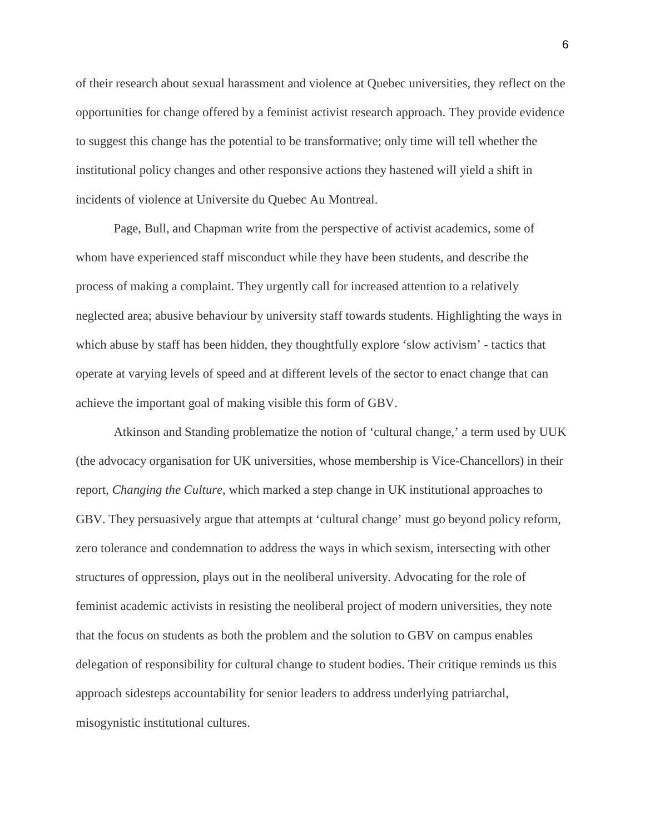of their research about sexual harassment and violence at Quebec universities, they reflect on the opportunities for change offered by a feminist activist research approach. They provide evidence to suggest this change has the potential to be transformative; only time will tell whether the institutional policy changes and other responsive actions they hastened will yield a shift in incidents of violence at Universite du Quebec Au Montreal.

Page, Bull, and Chapman write from the perspective of activist academics, some of whom have experienced staff misconduct while they have been students, and describe the process of making a complaint. They urgently call for increased attention to a relatively neglected area; abusive behaviour by university staff towards students. Highlighting the ways in which abuse by staff has been hidden, they thoughtfully explore 'slow activism' - tactics that operate at varying levels of speed and at different levels of the sector to enact change that can achieve the important goal of making visible this form of GBV.

Atkinson and Standing problematize the notion of 'cultural change,' a term used by UUK (the advocacy organisation for UK universities, whose membership is Vice-Chancellors) in their report, *Changing the Culture*, which marked a step change in UK institutional approaches to GBV. They persuasively argue that attempts at 'cultural change' must go beyond policy reform, zero tolerance and condemnation to address the ways in which sexism, intersecting with other structures of oppression, plays out in the neoliberal university. Advocating for the role of feminist academic activists in resisting the neoliberal project of modern universities, they note that the focus on students as both the problem and the solution to GBV on campus enables delegation of responsibility for cultural change to student bodies. Their critique reminds us this approach sidesteps accountability for senior leaders to address underlying patriarchal, misogynistic institutional cultures.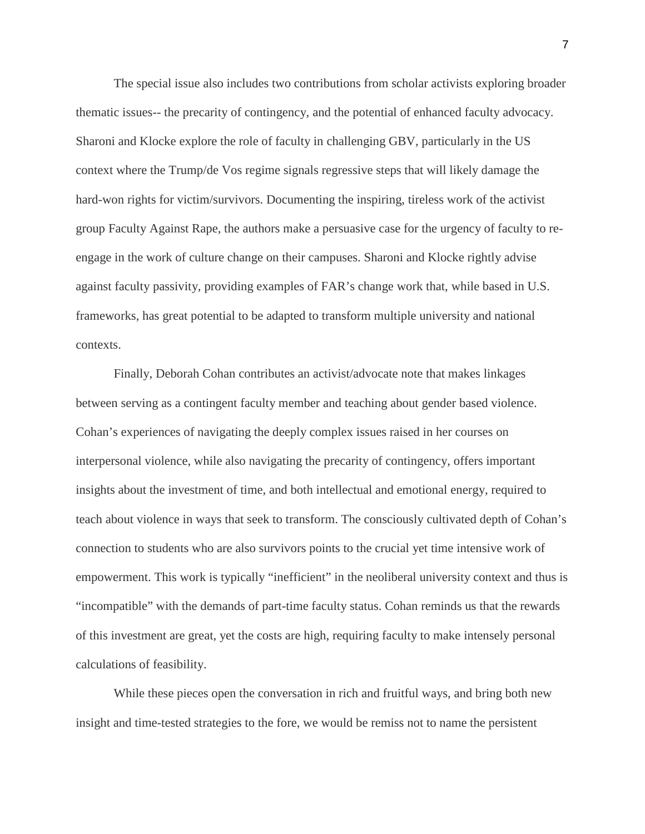The special issue also includes two contributions from scholar activists exploring broader thematic issues-- the precarity of contingency, and the potential of enhanced faculty advocacy. Sharoni and Klocke explore the role of faculty in challenging GBV, particularly in the US context where the Trump/de Vos regime signals regressive steps that will likely damage the hard-won rights for victim/survivors. Documenting the inspiring, tireless work of the activist group Faculty Against Rape, the authors make a persuasive case for the urgency of faculty to reengage in the work of culture change on their campuses. Sharoni and Klocke rightly advise against faculty passivity, providing examples of FAR's change work that, while based in U.S. frameworks, has great potential to be adapted to transform multiple university and national contexts.

Finally, Deborah Cohan contributes an activist/advocate note that makes linkages between serving as a contingent faculty member and teaching about gender based violence. Cohan's experiences of navigating the deeply complex issues raised in her courses on interpersonal violence, while also navigating the precarity of contingency, offers important insights about the investment of time, and both intellectual and emotional energy, required to teach about violence in ways that seek to transform. The consciously cultivated depth of Cohan's connection to students who are also survivors points to the crucial yet time intensive work of empowerment. This work is typically "inefficient" in the neoliberal university context and thus is "incompatible" with the demands of part-time faculty status. Cohan reminds us that the rewards of this investment are great, yet the costs are high, requiring faculty to make intensely personal calculations of feasibility.

While these pieces open the conversation in rich and fruitful ways, and bring both new insight and time-tested strategies to the fore, we would be remiss not to name the persistent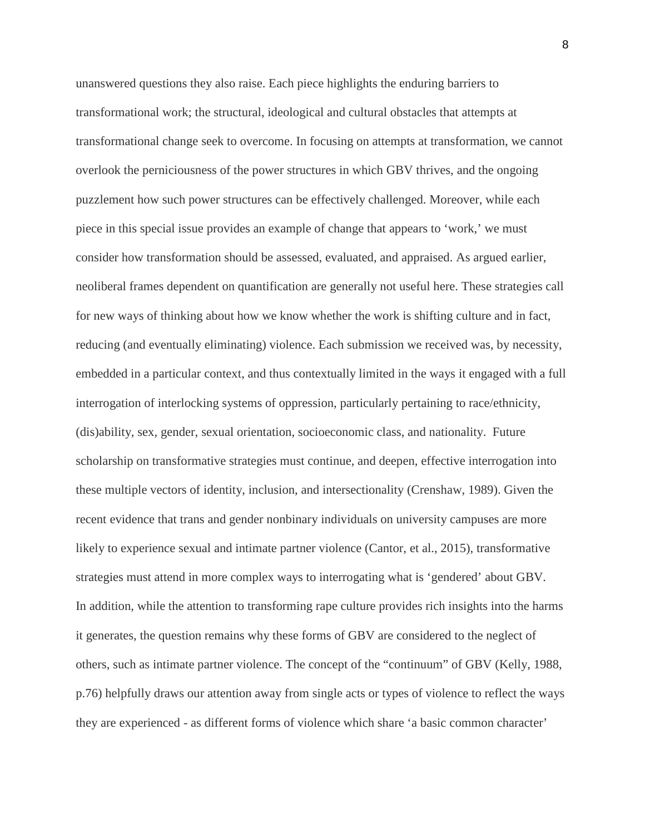unanswered questions they also raise. Each piece highlights the enduring barriers to transformational work; the structural, ideological and cultural obstacles that attempts at transformational change seek to overcome. In focusing on attempts at transformation, we cannot overlook the perniciousness of the power structures in which GBV thrives, and the ongoing puzzlement how such power structures can be effectively challenged. Moreover, while each piece in this special issue provides an example of change that appears to 'work,' we must consider how transformation should be assessed, evaluated, and appraised. As argued earlier, neoliberal frames dependent on quantification are generally not useful here. These strategies call for new ways of thinking about how we know whether the work is shifting culture and in fact, reducing (and eventually eliminating) violence. Each submission we received was, by necessity, embedded in a particular context, and thus contextually limited in the ways it engaged with a full interrogation of interlocking systems of oppression, particularly pertaining to race/ethnicity, (dis)ability, sex, gender, sexual orientation, socioeconomic class, and nationality. Future scholarship on transformative strategies must continue, and deepen, effective interrogation into these multiple vectors of identity, inclusion, and intersectionality (Crenshaw, 1989). Given the recent evidence that trans and gender nonbinary individuals on university campuses are more likely to experience sexual and intimate partner violence (Cantor, et al., 2015), transformative strategies must attend in more complex ways to interrogating what is 'gendered' about GBV. In addition, while the attention to transforming rape culture provides rich insights into the harms it generates, the question remains why these forms of GBV are considered to the neglect of others, such as intimate partner violence. The concept of the "continuum" of GBV (Kelly, 1988, p.76) helpfully draws our attention away from single acts or types of violence to reflect the ways they are experienced - as different forms of violence which share 'a basic common character'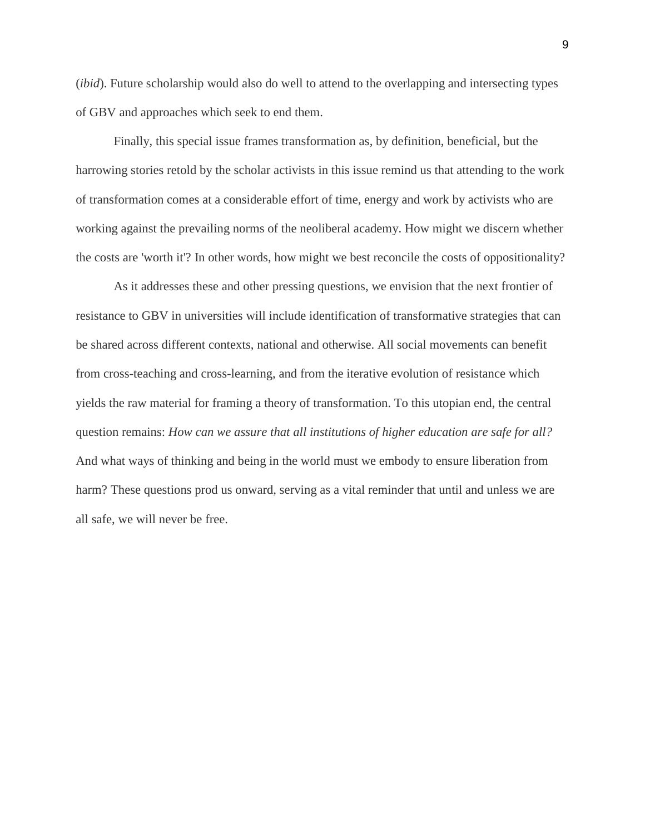(*ibid*). Future scholarship would also do well to attend to the overlapping and intersecting types of GBV and approaches which seek to end them.

Finally, this special issue frames transformation as, by definition, beneficial, but the harrowing stories retold by the scholar activists in this issue remind us that attending to the work of transformation comes at a considerable effort of time, energy and work by activists who are working against the prevailing norms of the neoliberal academy. How might we discern whether the costs are 'worth it'? In other words, how might we best reconcile the costs of oppositionality?

As it addresses these and other pressing questions, we envision that the next frontier of resistance to GBV in universities will include identification of transformative strategies that can be shared across different contexts, national and otherwise. All social movements can benefit from cross-teaching and cross-learning, and from the iterative evolution of resistance which yields the raw material for framing a theory of transformation. To this utopian end, the central question remains: *How can we assure that all institutions of higher education are safe for all?* And what ways of thinking and being in the world must we embody to ensure liberation from harm? These questions prod us onward, serving as a vital reminder that until and unless we are all safe, we will never be free.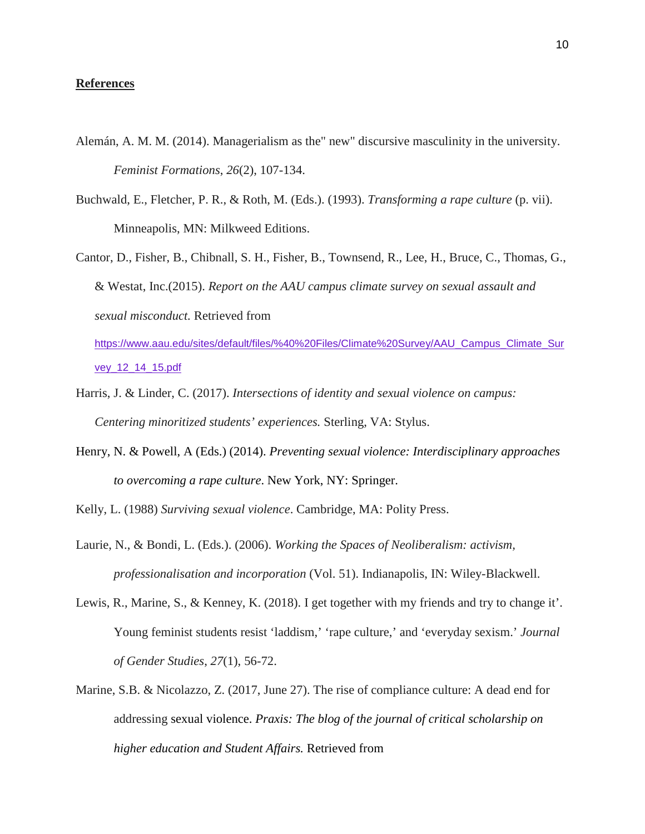## **References**

- Alemán, A. M. M. (2014). Managerialism as the" new" discursive masculinity in the university. *Feminist Formations*, *26*(2), 107-134.
- Buchwald, E., Fletcher, P. R., & Roth, M. (Eds.). (1993). *Transforming a rape culture* (p. vii). Minneapolis, MN: Milkweed Editions.

Cantor, D., Fisher, B., Chibnall, S. H., Fisher, B., Townsend, R., Lee, H., Bruce, C., Thomas, G., & Westat, Inc.(2015). *Report on the AAU campus climate survey on sexual assault and sexual misconduct.* Retrieved from [https://www.aau.edu/sites/default/files/%40%20Files/Climate%20Survey/AAU\\_Campus\\_Climate\\_Sur](https://www.aau.edu/sites/default/files/%40%20Files/Climate%20Survey/AAU_Campus_Climate_Survey_12_14_15.pdf) [vey\\_12\\_14\\_15.pdf](https://www.aau.edu/sites/default/files/%40%20Files/Climate%20Survey/AAU_Campus_Climate_Survey_12_14_15.pdf)

- Harris, J. & Linder, C. (2017). *Intersections of identity and sexual violence on campus: Centering minoritized students' experiences.* Sterling, VA: Stylus.
- Henry, N. & Powell, A (Eds.) (2014). *Preventing sexual violence: Interdisciplinary approaches to overcoming a rape culture*. New York, NY: Springer.

Kelly, L. (1988) *Surviving sexual violence*. Cambridge, MA: Polity Press.

- Laurie, N., & Bondi, L. (Eds.). (2006). *Working the Spaces of Neoliberalism: activism, professionalisation and incorporation* (Vol. 51). Indianapolis, IN: Wiley-Blackwell.
- Lewis, R., Marine, S., & Kenney, K. (2018). I get together with my friends and try to change it'. Young feminist students resist 'laddism,' 'rape culture,' and 'everyday sexism.' *Journal of Gender Studies*, *27*(1), 56-72.
- Marine, S.B. & Nicolazzo, Z. (2017, June 27). The rise of compliance culture: A dead end for addressing sexual violence. *Praxis: The blog of the journal of critical scholarship on higher education and Student Affairs.* Retrieved from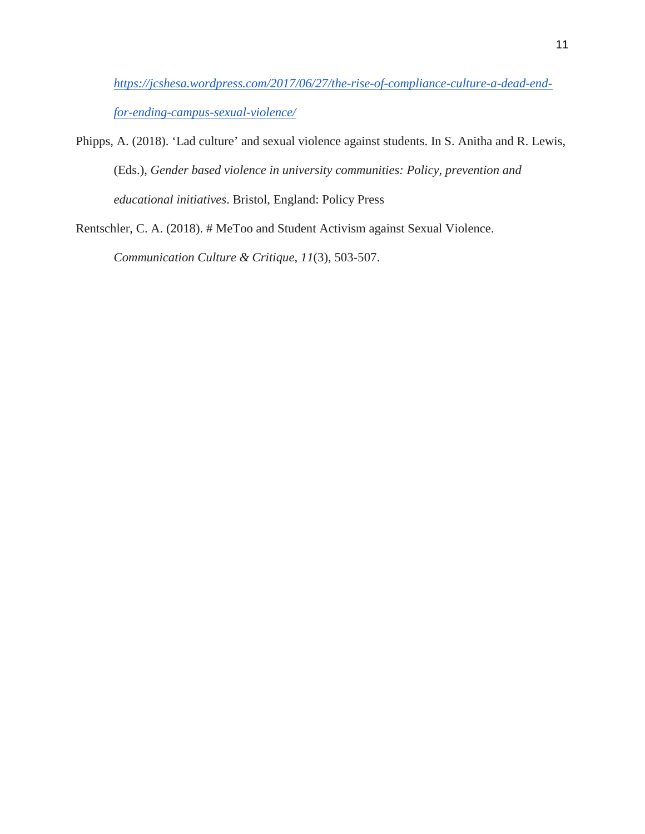*[https://jcshesa.wordpress.com/2017/06/27/the-rise-of-compliance-culture-a-dead-end](https://jcshesa.wordpress.com/2017/06/27/the-rise-of-compliance-culture-a-dead-end-for-ending-campus-sexual-violence/)[for-ending-campus-sexual-violence/](https://jcshesa.wordpress.com/2017/06/27/the-rise-of-compliance-culture-a-dead-end-for-ending-campus-sexual-violence/)*

Phipps, A. (2018). 'Lad culture' and sexual violence against students. In S. Anitha and R. Lewis, (Eds.), *Gender based violence in university communities: Policy, prevention and educational initiatives*. Bristol, England: Policy Press

Rentschler, C. A. (2018). # MeToo and Student Activism against Sexual Violence.

*Communication Culture & Critique*, *11*(3), 503-507.